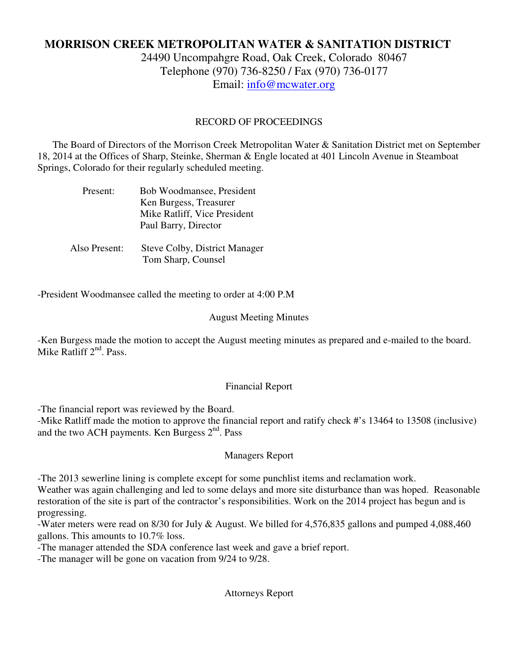# **MORRISON CREEK METROPOLITAN WATER & SANITATION DISTRICT**

24490 Uncompahgre Road, Oak Creek, Colorado 80467 Telephone (970) 736-8250 / Fax (970) 736-0177 Email: info@mcwater.org

## RECORD OF PROCEEDINGS

 The Board of Directors of the Morrison Creek Metropolitan Water & Sanitation District met on September 18, 2014 at the Offices of Sharp, Steinke, Sherman & Engle located at 401 Lincoln Avenue in Steamboat Springs, Colorado for their regularly scheduled meeting.

| Present:      | Bob Woodmansee, President     |
|---------------|-------------------------------|
|               | Ken Burgess, Treasurer        |
|               | Mike Ratliff, Vice President  |
|               | Paul Barry, Director          |
|               |                               |
| Also Present: | Steve Colby, District Manager |

Tom Sharp, Counsel

-President Woodmansee called the meeting to order at 4:00 P.M

#### August Meeting Minutes

-Ken Burgess made the motion to accept the August meeting minutes as prepared and e-mailed to the board. Mike Ratliff 2<sup>nd</sup>. Pass.

#### Financial Report

-The financial report was reviewed by the Board.

-Mike Ratliff made the motion to approve the financial report and ratify check #'s 13464 to 13508 (inclusive) and the two ACH payments. Ken Burgess  $2<sup>nd</sup>$ . Pass

#### Managers Report

-The 2013 sewerline lining is complete except for some punchlist items and reclamation work.

Weather was again challenging and led to some delays and more site disturbance than was hoped. Reasonable restoration of the site is part of the contractor's responsibilities. Work on the 2014 project has begun and is progressing.

-Water meters were read on 8/30 for July & August. We billed for 4,576,835 gallons and pumped 4,088,460 gallons. This amounts to 10.7% loss.

-The manager attended the SDA conference last week and gave a brief report.

-The manager will be gone on vacation from 9/24 to 9/28.

Attorneys Report